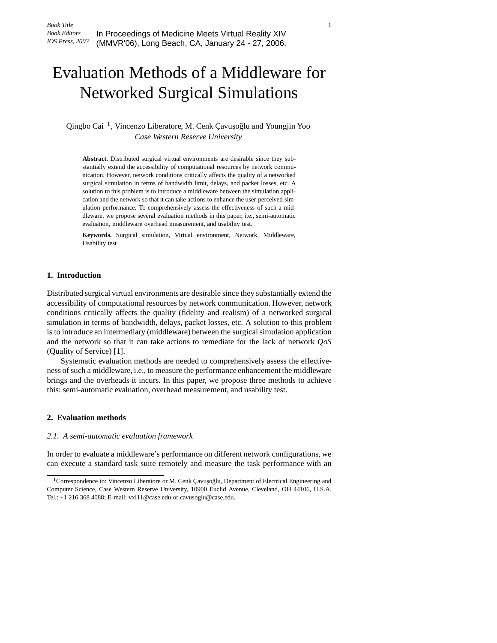# Evaluation Methods of a Middleware for Networked Surgical Simulations

# Qingbo Cai<sup>1</sup>, Vincenzo Liberatore, M. Cenk Çavuşoğlu and Youngjin Yoo *Case Western Reserve University*

**Abstract.** Distributed surgical virtual environments are desirable since they substantially extend the accessibility of computational resources by network communication. However, network conditions critically affects the quality of a networked surgical simulation in terms of bandwidth limit, delays, and packet losses, etc. A solution to this problem is to introduce a middleware between the simulation application and the network so that it can take actions to enhance the user-perceived simulation performance. To comprehensively assess the effectiveness of such a middleware, we propose several evaluation methods in this paper, i.e., semi-automatic evaluation, middleware overhead measurement, and usability test.

**Keywords.** Surgical simulation, Virtual environment, Network, Middleware, Usability test

## **1. Introduction**

Distributed surgical virtual environments are desirable since they substantially extend the accessibility of computational resources by network communication. However, network conditions critically affects the quality (fidelity and realism) of a networked surgical simulation in terms of bandwidth, delays, packet losses, etc. A solution to this problem is to introduce an intermediary (middleware) between the surgical simulation application and the network so that it can take actions to remediate for the lack of network *QoS* (Quality of Service) [1].

Systematic evaluation methods are needed to comprehensively assess the effectiveness of such a middleware, i.e., to measure the performance enhancement the middleware brings and the overheads it incurs. In this paper, we propose three methods to achieve this: semi-automatic evaluation, overhead measurement, and usability test.

#### **2. Evaluation methods**

#### *2.1. A semi-automatic evaluation framework*

In order to evaluate a middleware's performance on different network configurations, we can execute a standard task suite remotely and measure the task performance with an

<sup>&</sup>lt;sup>1</sup>Correspondence to: Vincenzo Liberatore or M. Cenk Çavuşoğlu, Department of Electrical Engineering and Computer Science, Case Western Reserve University, 10900 Euclid Avenue, Cleveland, OH 44106, U.S.A. Tel.: +1 216 368 4088; E-mail: vxl11@case.edu or cavusoglu@case.edu.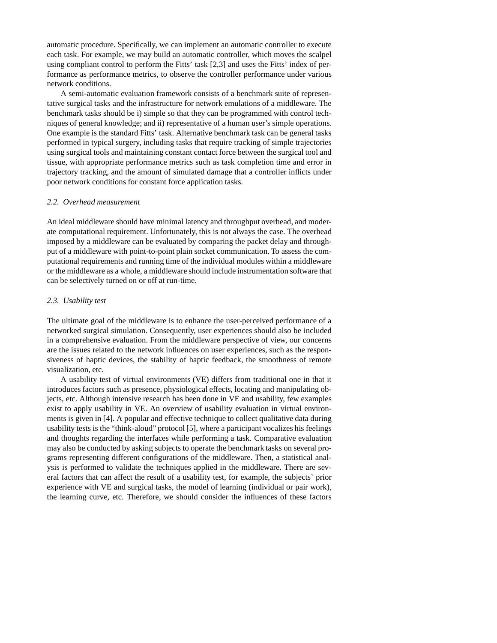automatic procedure. Specifically, we can implement an automatic controller to execute each task. For example, we may build an automatic controller, which moves the scalpel using compliant control to perform the Fitts' task [2,3] and uses the Fitts' index of performance as performance metrics, to observe the controller performance under various network conditions.

A semi-automatic evaluation framework consists of a benchmark suite of representative surgical tasks and the infrastructure for network emulations of a middleware. The benchmark tasks should be i) simple so that they can be programmed with control techniques of general knowledge; and ii) representative of a human user's simple operations. One example is the standard Fitts' task. Alternative benchmark task can be general tasks performed in typical surgery, including tasks that require tracking of simple trajectories using surgical tools and maintaining constant contact force between the surgical tool and tissue, with appropriate performance metrics such as task completion time and error in trajectory tracking, and the amount of simulated damage that a controller inflicts under poor network conditions for constant force application tasks.

## *2.2. Overhead measurement*

An ideal middleware should have minimal latency and throughput overhead, and moderate computational requirement. Unfortunately, this is not always the case. The overhead imposed by a middleware can be evaluated by comparing the packet delay and throughput of a middleware with point-to-point plain socket communication. To assess the computational requirements and running time of the individual modules within a middleware or the middleware as a whole, a middleware should include instrumentation software that can be selectively turned on or off at run-time.

#### *2.3. Usability test*

The ultimate goal of the middleware is to enhance the user-perceived performance of a networked surgical simulation. Consequently, user experiences should also be included in a comprehensive evaluation. From the middleware perspective of view, our concerns are the issues related to the network influences on user experiences, such as the responsiveness of haptic devices, the stability of haptic feedback, the smoothness of remote visualization, etc.

A usability test of virtual environments (VE) differs from traditional one in that it introduces factors such as presence, physiological effects, locating and manipulating objects, etc. Although intensive research has been done in VE and usability, few examples exist to apply usability in VE. An overview of usability evaluation in virtual environments is given in [4]. A popular and effective technique to collect qualitative data during usability tests is the "think-aloud" protocol [5], where a participant vocalizes his feelings and thoughts regarding the interfaces while performing a task. Comparative evaluation may also be conducted by asking subjects to operate the benchmark tasks on several programs representing different configurations of the middleware. Then, a statistical analysis is performed to validate the techniques applied in the middleware. There are several factors that can affect the result of a usability test, for example, the subjects' prior experience with VE and surgical tasks, the model of learning (individual or pair work), the learning curve, etc. Therefore, we should consider the influences of these factors